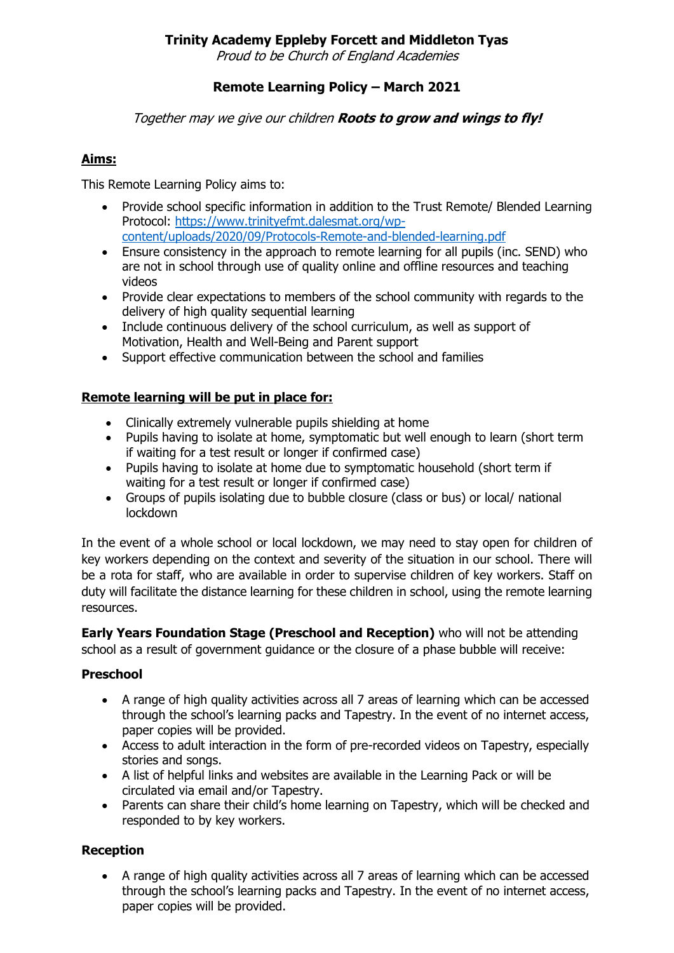Proud to be Church of England Academies

# **Remote Learning Policy – March 2021**

#### Together may we give our children **Roots to grow and wings to fly!**

## **Aims:**

This Remote Learning Policy aims to:

- Provide school specific information in addition to the Trust Remote/ Blended Learning Protocol: [https://www.trinityefmt.dalesmat.org/wp](https://www.trinityefmt.dalesmat.org/wp-content/uploads/2020/09/Protocols-Remote-and-blended-learning.pdf)[content/uploads/2020/09/Protocols-Remote-and-blended-learning.pdf](https://www.trinityefmt.dalesmat.org/wp-content/uploads/2020/09/Protocols-Remote-and-blended-learning.pdf)
- Ensure consistency in the approach to remote learning for all pupils (inc. SEND) who are not in school through use of quality online and offline resources and teaching videos
- Provide clear expectations to members of the school community with regards to the delivery of high quality sequential learning
- Include continuous delivery of the school curriculum, as well as support of Motivation, Health and Well-Being and Parent support
- Support effective communication between the school and families

### **Remote learning will be put in place for:**

- Clinically extremely vulnerable pupils shielding at home
- Pupils having to isolate at home, symptomatic but well enough to learn (short term if waiting for a test result or longer if confirmed case)
- Pupils having to isolate at home due to symptomatic household (short term if waiting for a test result or longer if confirmed case)
- Groups of pupils isolating due to bubble closure (class or bus) or local/ national lockdown

In the event of a whole school or local lockdown, we may need to stay open for children of key workers depending on the context and severity of the situation in our school. There will be a rota for staff, who are available in order to supervise children of key workers. Staff on duty will facilitate the distance learning for these children in school, using the remote learning resources.

**Early Years Foundation Stage (Preschool and Reception)** who will not be attending school as a result of government guidance or the closure of a phase bubble will receive:

### **Preschool**

- A range of high quality activities across all 7 areas of learning which can be accessed through the school's learning packs and Tapestry. In the event of no internet access, paper copies will be provided.
- Access to adult interaction in the form of pre-recorded videos on Tapestry, especially stories and songs.
- A list of helpful links and websites are available in the Learning Pack or will be circulated via email and/or Tapestry.
- Parents can share their child's home learning on Tapestry, which will be checked and responded to by key workers.

### **Reception**

 A range of high quality activities across all 7 areas of learning which can be accessed through the school's learning packs and Tapestry. In the event of no internet access, paper copies will be provided.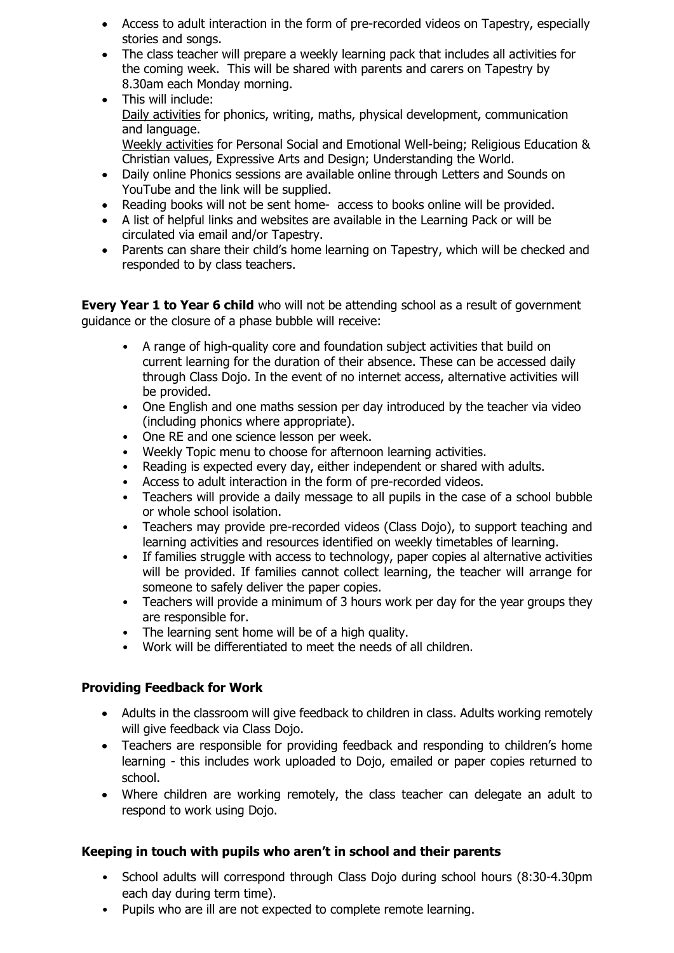- Access to adult interaction in the form of pre-recorded videos on Tapestry, especially stories and songs.
- The class teacher will prepare a weekly learning pack that includes all activities for the coming week. This will be shared with parents and carers on Tapestry by 8.30am each Monday morning.
- This will include: Daily activities for phonics, writing, maths, physical development, communication and language. Weekly activities for Personal Social and Emotional Well-being; Religious Education & Christian values, Expressive Arts and Design; Understanding the World.
- Daily online Phonics sessions are available online through Letters and Sounds on YouTube and the link will be supplied.
- Reading books will not be sent home- access to books online will be provided.
- A list of helpful links and websites are available in the Learning Pack or will be circulated via email and/or Tapestry.
- Parents can share their child's home learning on Tapestry, which will be checked and responded to by class teachers.

**Every Year 1 to Year 6 child** who will not be attending school as a result of government guidance or the closure of a phase bubble will receive:

- A range of high-quality core and foundation subject activities that build on current learning for the duration of their absence. These can be accessed daily through Class Dojo. In the event of no internet access, alternative activities will be provided.
- One English and one maths session per day introduced by the teacher via video (including phonics where appropriate).
- One RE and one science lesson per week.
- Weekly Topic menu to choose for afternoon learning activities.
- Reading is expected every day, either independent or shared with adults.
- Access to adult interaction in the form of pre-recorded videos.
- Teachers will provide a daily message to all pupils in the case of a school bubble or whole school isolation.
- Teachers may provide pre-recorded videos (Class Dojo), to support teaching and learning activities and resources identified on weekly timetables of learning.
- If families struggle with access to technology, paper copies al alternative activities will be provided. If families cannot collect learning, the teacher will arrange for someone to safely deliver the paper copies.
- Teachers will provide a minimum of 3 hours work per day for the year groups they are responsible for.
- The learning sent home will be of a high quality.
- Work will be differentiated to meet the needs of all children.

### **Providing Feedback for Work**

- Adults in the classroom will give feedback to children in class. Adults working remotely will give feedback via Class Dojo.
- Teachers are responsible for providing feedback and responding to children's home learning - this includes work uploaded to Dojo, emailed or paper copies returned to school.
- Where children are working remotely, the class teacher can delegate an adult to respond to work using Dojo.

### **Keeping in touch with pupils who aren't in school and their parents**

- School adults will correspond through Class Dojo during school hours (8:30-4.30pm each day during term time).
- Pupils who are ill are not expected to complete remote learning.